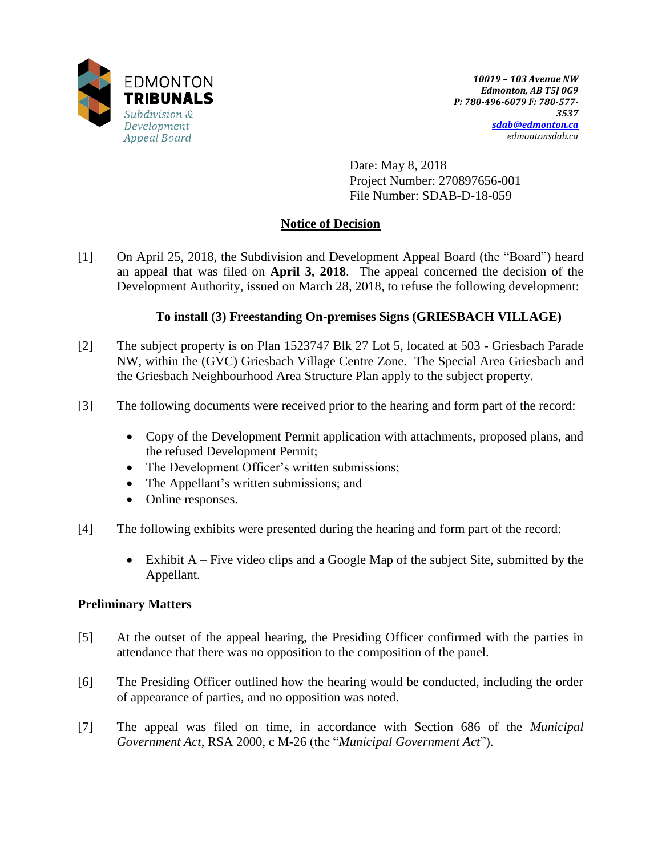

Date: May 8, 2018 Project Number: 270897656-001 File Number: SDAB-D-18-059

# **Notice of Decision**

[1] On April 25, 2018, the Subdivision and Development Appeal Board (the "Board") heard an appeal that was filed on **April 3, 2018**. The appeal concerned the decision of the Development Authority, issued on March 28, 2018, to refuse the following development:

# **To install (3) Freestanding On-premises Signs (GRIESBACH VILLAGE)**

- [2] The subject property is on Plan 1523747 Blk 27 Lot 5, located at 503 Griesbach Parade NW, within the (GVC) Griesbach Village Centre Zone. The Special Area Griesbach and the Griesbach Neighbourhood Area Structure Plan apply to the subject property.
- [3] The following documents were received prior to the hearing and form part of the record:
	- Copy of the Development Permit application with attachments, proposed plans, and the refused Development Permit;
	- The Development Officer's written submissions;
	- The Appellant's written submissions; and
	- Online responses.
- [4] The following exhibits were presented during the hearing and form part of the record:
	- $\bullet$  Exhibit A Five video clips and a Google Map of the subject Site, submitted by the Appellant.

## **Preliminary Matters**

- [5] At the outset of the appeal hearing, the Presiding Officer confirmed with the parties in attendance that there was no opposition to the composition of the panel.
- [6] The Presiding Officer outlined how the hearing would be conducted, including the order of appearance of parties, and no opposition was noted.
- [7] The appeal was filed on time, in accordance with Section 686 of the *Municipal Government Act*, RSA 2000, c M-26 (the "*Municipal Government Act*").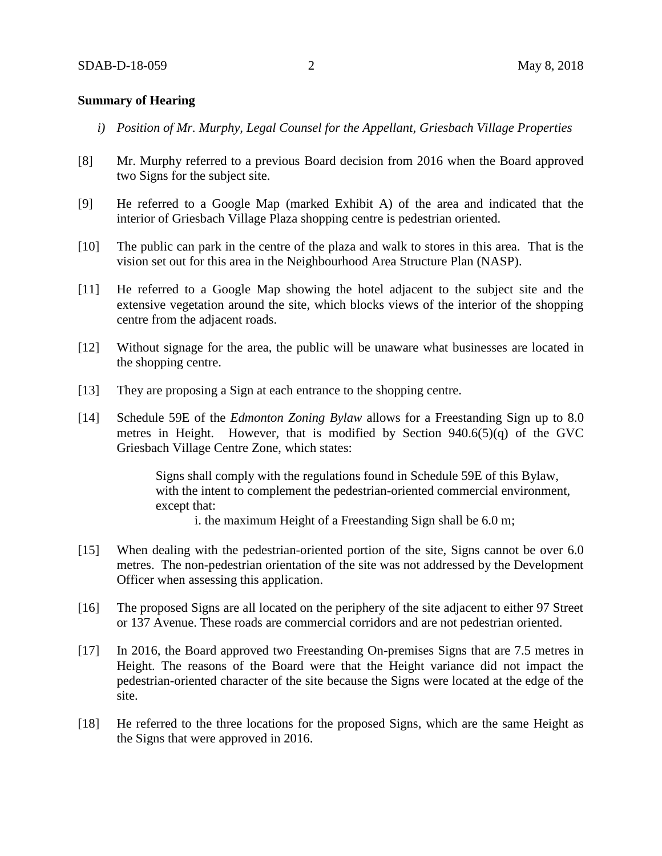### **Summary of Hearing**

- *i) Position of Mr. Murphy, Legal Counsel for the Appellant, Griesbach Village Properties*
- [8] Mr. Murphy referred to a previous Board decision from 2016 when the Board approved two Signs for the subject site.
- [9] He referred to a Google Map (marked Exhibit A) of the area and indicated that the interior of Griesbach Village Plaza shopping centre is pedestrian oriented.
- [10] The public can park in the centre of the plaza and walk to stores in this area. That is the vision set out for this area in the Neighbourhood Area Structure Plan (NASP).
- [11] He referred to a Google Map showing the hotel adjacent to the subject site and the extensive vegetation around the site, which blocks views of the interior of the shopping centre from the adjacent roads.
- [12] Without signage for the area, the public will be unaware what businesses are located in the shopping centre.
- [13] They are proposing a Sign at each entrance to the shopping centre.
- [14] Schedule 59E of the *Edmonton Zoning Bylaw* allows for a Freestanding Sign up to 8.0 metres in Height. However, that is modified by Section 940.6(5)(q) of the GVC Griesbach Village Centre Zone, which states:

Signs shall comply with the regulations found in Schedule 59E of this Bylaw, with the intent to complement the pedestrian-oriented commercial environment, except that:

i. the maximum Height of a Freestanding Sign shall be 6.0 m;

- [15] When dealing with the pedestrian-oriented portion of the site, Signs cannot be over 6.0 metres. The non-pedestrian orientation of the site was not addressed by the Development Officer when assessing this application.
- [16] The proposed Signs are all located on the periphery of the site adjacent to either 97 Street or 137 Avenue. These roads are commercial corridors and are not pedestrian oriented.
- [17] In 2016, the Board approved two Freestanding On-premises Signs that are 7.5 metres in Height. The reasons of the Board were that the Height variance did not impact the pedestrian-oriented character of the site because the Signs were located at the edge of the site.
- [18] He referred to the three locations for the proposed Signs, which are the same Height as the Signs that were approved in 2016.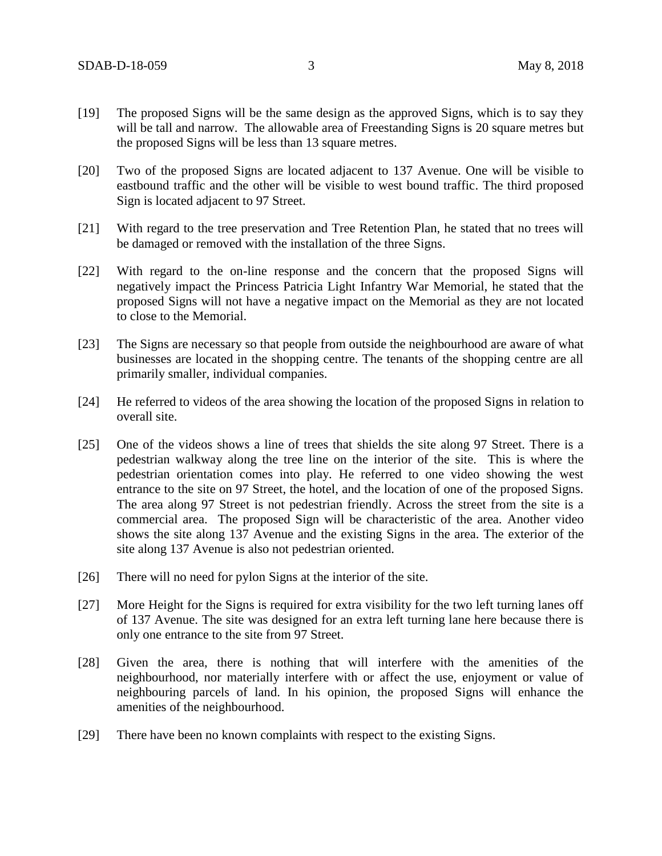- [19] The proposed Signs will be the same design as the approved Signs, which is to say they will be tall and narrow. The allowable area of Freestanding Signs is 20 square metres but the proposed Signs will be less than 13 square metres.
- [20] Two of the proposed Signs are located adjacent to 137 Avenue. One will be visible to eastbound traffic and the other will be visible to west bound traffic. The third proposed Sign is located adjacent to 97 Street.
- [21] With regard to the tree preservation and Tree Retention Plan, he stated that no trees will be damaged or removed with the installation of the three Signs.
- [22] With regard to the on-line response and the concern that the proposed Signs will negatively impact the Princess Patricia Light Infantry War Memorial, he stated that the proposed Signs will not have a negative impact on the Memorial as they are not located to close to the Memorial.
- [23] The Signs are necessary so that people from outside the neighbourhood are aware of what businesses are located in the shopping centre. The tenants of the shopping centre are all primarily smaller, individual companies.
- [24] He referred to videos of the area showing the location of the proposed Signs in relation to overall site.
- [25] One of the videos shows a line of trees that shields the site along 97 Street. There is a pedestrian walkway along the tree line on the interior of the site. This is where the pedestrian orientation comes into play. He referred to one video showing the west entrance to the site on 97 Street, the hotel, and the location of one of the proposed Signs. The area along 97 Street is not pedestrian friendly. Across the street from the site is a commercial area. The proposed Sign will be characteristic of the area. Another video shows the site along 137 Avenue and the existing Signs in the area. The exterior of the site along 137 Avenue is also not pedestrian oriented.
- [26] There will no need for pylon Signs at the interior of the site.
- [27] More Height for the Signs is required for extra visibility for the two left turning lanes off of 137 Avenue. The site was designed for an extra left turning lane here because there is only one entrance to the site from 97 Street.
- [28] Given the area, there is nothing that will interfere with the amenities of the neighbourhood, nor materially interfere with or affect the use, enjoyment or value of neighbouring parcels of land. In his opinion, the proposed Signs will enhance the amenities of the neighbourhood.
- [29] There have been no known complaints with respect to the existing Signs.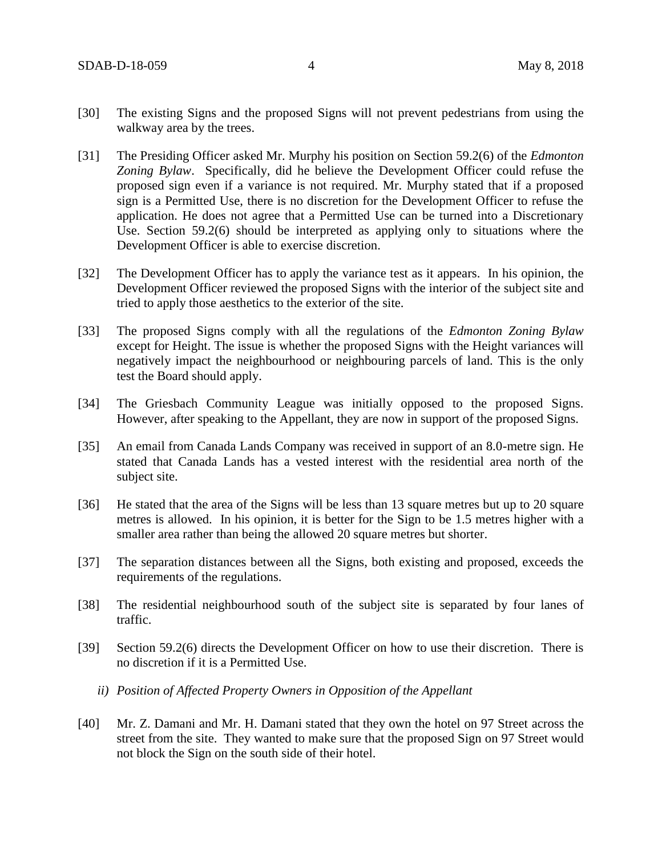- [30] The existing Signs and the proposed Signs will not prevent pedestrians from using the walkway area by the trees.
- [31] The Presiding Officer asked Mr. Murphy his position on Section 59.2(6) of the *Edmonton Zoning Bylaw*. Specifically, did he believe the Development Officer could refuse the proposed sign even if a variance is not required. Mr. Murphy stated that if a proposed sign is a Permitted Use, there is no discretion for the Development Officer to refuse the application. He does not agree that a Permitted Use can be turned into a Discretionary Use. Section 59.2(6) should be interpreted as applying only to situations where the Development Officer is able to exercise discretion.
- [32] The Development Officer has to apply the variance test as it appears. In his opinion, the Development Officer reviewed the proposed Signs with the interior of the subject site and tried to apply those aesthetics to the exterior of the site.
- [33] The proposed Signs comply with all the regulations of the *Edmonton Zoning Bylaw* except for Height. The issue is whether the proposed Signs with the Height variances will negatively impact the neighbourhood or neighbouring parcels of land. This is the only test the Board should apply.
- [34] The Griesbach Community League was initially opposed to the proposed Signs. However, after speaking to the Appellant, they are now in support of the proposed Signs.
- [35] An email from Canada Lands Company was received in support of an 8.0-metre sign. He stated that Canada Lands has a vested interest with the residential area north of the subject site.
- [36] He stated that the area of the Signs will be less than 13 square metres but up to 20 square metres is allowed. In his opinion, it is better for the Sign to be 1.5 metres higher with a smaller area rather than being the allowed 20 square metres but shorter.
- [37] The separation distances between all the Signs, both existing and proposed, exceeds the requirements of the regulations.
- [38] The residential neighbourhood south of the subject site is separated by four lanes of traffic.
- [39] Section 59.2(6) directs the Development Officer on how to use their discretion. There is no discretion if it is a Permitted Use.
	- *ii) Position of Affected Property Owners in Opposition of the Appellant*
- [40] Mr. Z. Damani and Mr. H. Damani stated that they own the hotel on 97 Street across the street from the site. They wanted to make sure that the proposed Sign on 97 Street would not block the Sign on the south side of their hotel.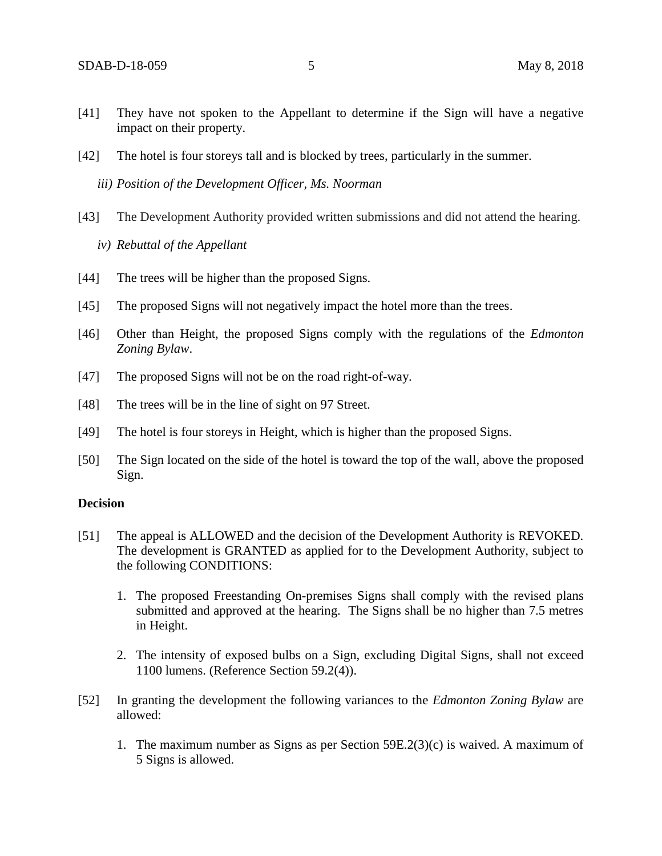- [41] They have not spoken to the Appellant to determine if the Sign will have a negative impact on their property.
- [42] The hotel is four storeys tall and is blocked by trees, particularly in the summer.

*iii) Position of the Development Officer, Ms. Noorman* 

- [43] The Development Authority provided written submissions and did not attend the hearing.
	- *iv) Rebuttal of the Appellant*
- [44] The trees will be higher than the proposed Signs.
- [45] The proposed Signs will not negatively impact the hotel more than the trees.
- [46] Other than Height, the proposed Signs comply with the regulations of the *Edmonton Zoning Bylaw*.
- [47] The proposed Signs will not be on the road right-of-way.
- [48] The trees will be in the line of sight on 97 Street.
- [49] The hotel is four storeys in Height, which is higher than the proposed Signs.
- [50] The Sign located on the side of the hotel is toward the top of the wall, above the proposed Sign.

### **Decision**

- [51] The appeal is ALLOWED and the decision of the Development Authority is REVOKED. The development is GRANTED as applied for to the Development Authority, subject to the following CONDITIONS:
	- 1. The proposed Freestanding On-premises Signs shall comply with the revised plans submitted and approved at the hearing. The Signs shall be no higher than 7.5 metres in Height.
	- 2. The intensity of exposed bulbs on a Sign, excluding Digital Signs, shall not exceed 1100 lumens. (Reference Section 59.2(4)).
- [52] In granting the development the following variances to the *Edmonton Zoning Bylaw* are allowed:
	- 1. The maximum number as Signs as per Section 59E.2(3)(c) is waived. A maximum of 5 Signs is allowed.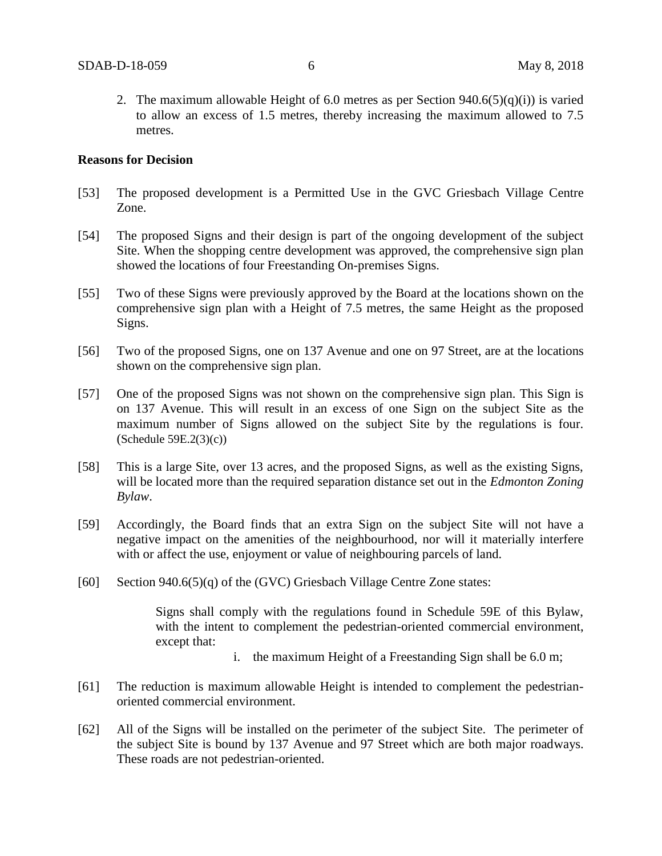2. The maximum allowable Height of 6.0 metres as per Section  $940.6(5)(q)(i)$  is varied to allow an excess of 1.5 metres, thereby increasing the maximum allowed to 7.5 metres.

#### **Reasons for Decision**

- [53] The proposed development is a Permitted Use in the GVC Griesbach Village Centre Zone.
- [54] The proposed Signs and their design is part of the ongoing development of the subject Site. When the shopping centre development was approved, the comprehensive sign plan showed the locations of four Freestanding On-premises Signs.
- [55] Two of these Signs were previously approved by the Board at the locations shown on the comprehensive sign plan with a Height of 7.5 metres, the same Height as the proposed Signs.
- [56] Two of the proposed Signs, one on 137 Avenue and one on 97 Street, are at the locations shown on the comprehensive sign plan.
- [57] One of the proposed Signs was not shown on the comprehensive sign plan. This Sign is on 137 Avenue. This will result in an excess of one Sign on the subject Site as the maximum number of Signs allowed on the subject Site by the regulations is four. (Schedule 59E.2(3)(c))
- [58] This is a large Site, over 13 acres, and the proposed Signs, as well as the existing Signs, will be located more than the required separation distance set out in the *Edmonton Zoning Bylaw*.
- [59] Accordingly, the Board finds that an extra Sign on the subject Site will not have a negative impact on the amenities of the neighbourhood, nor will it materially interfere with or affect the use, enjoyment or value of neighbouring parcels of land.
- [60] Section 940.6(5)(q) of the (GVC) Griesbach Village Centre Zone states:

Signs shall comply with the regulations found in Schedule 59E of this Bylaw, with the intent to complement the pedestrian-oriented commercial environment, except that:

- i. the maximum Height of a Freestanding Sign shall be 6.0 m;
- [61] The reduction is maximum allowable Height is intended to complement the pedestrianoriented commercial environment.
- [62] All of the Signs will be installed on the perimeter of the subject Site. The perimeter of the subject Site is bound by 137 Avenue and 97 Street which are both major roadways. These roads are not pedestrian-oriented.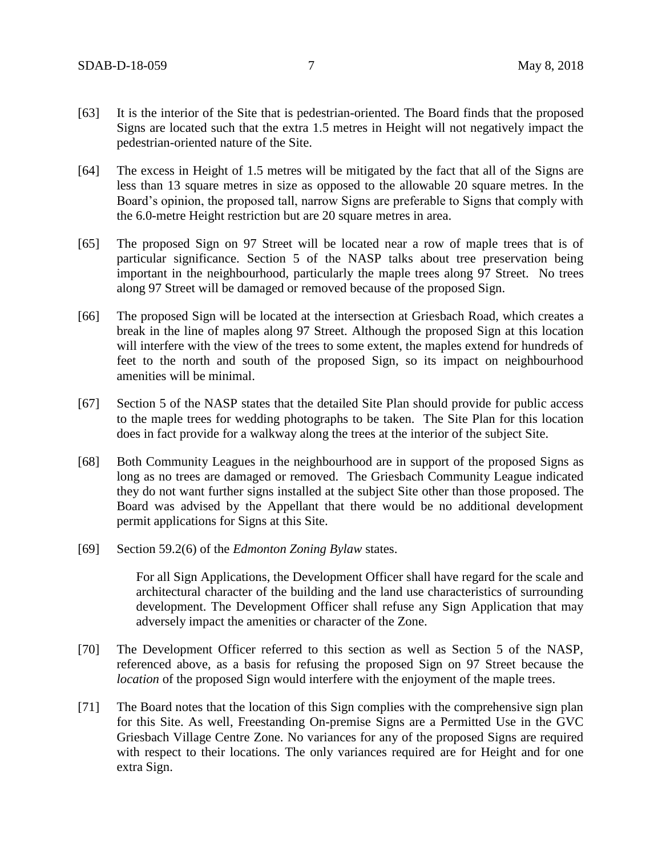- [63] It is the interior of the Site that is pedestrian-oriented. The Board finds that the proposed Signs are located such that the extra 1.5 metres in Height will not negatively impact the pedestrian-oriented nature of the Site.
- [64] The excess in Height of 1.5 metres will be mitigated by the fact that all of the Signs are less than 13 square metres in size as opposed to the allowable 20 square metres. In the Board's opinion, the proposed tall, narrow Signs are preferable to Signs that comply with the 6.0-metre Height restriction but are 20 square metres in area.
- [65] The proposed Sign on 97 Street will be located near a row of maple trees that is of particular significance. Section 5 of the NASP talks about tree preservation being important in the neighbourhood, particularly the maple trees along 97 Street. No trees along 97 Street will be damaged or removed because of the proposed Sign.
- [66] The proposed Sign will be located at the intersection at Griesbach Road, which creates a break in the line of maples along 97 Street. Although the proposed Sign at this location will interfere with the view of the trees to some extent, the maples extend for hundreds of feet to the north and south of the proposed Sign, so its impact on neighbourhood amenities will be minimal.
- [67] Section 5 of the NASP states that the detailed Site Plan should provide for public access to the maple trees for wedding photographs to be taken. The Site Plan for this location does in fact provide for a walkway along the trees at the interior of the subject Site.
- [68] Both Community Leagues in the neighbourhood are in support of the proposed Signs as long as no trees are damaged or removed. The Griesbach Community League indicated they do not want further signs installed at the subject Site other than those proposed. The Board was advised by the Appellant that there would be no additional development permit applications for Signs at this Site.
- [69] Section 59.2(6) of the *Edmonton Zoning Bylaw* states.

For all Sign Applications, the Development Officer shall have regard for the scale and architectural character of the building and the land use characteristics of surrounding development. The Development Officer shall refuse any Sign Application that may adversely impact the amenities or character of the Zone.

- [70] The Development Officer referred to this section as well as Section 5 of the NASP, referenced above, as a basis for refusing the proposed Sign on 97 Street because the *location* of the proposed Sign would interfere with the enjoyment of the maple trees.
- [71] The Board notes that the location of this Sign complies with the comprehensive sign plan for this Site. As well, Freestanding On-premise Signs are a Permitted Use in the GVC Griesbach Village Centre Zone. No variances for any of the proposed Signs are required with respect to their locations. The only variances required are for Height and for one extra Sign.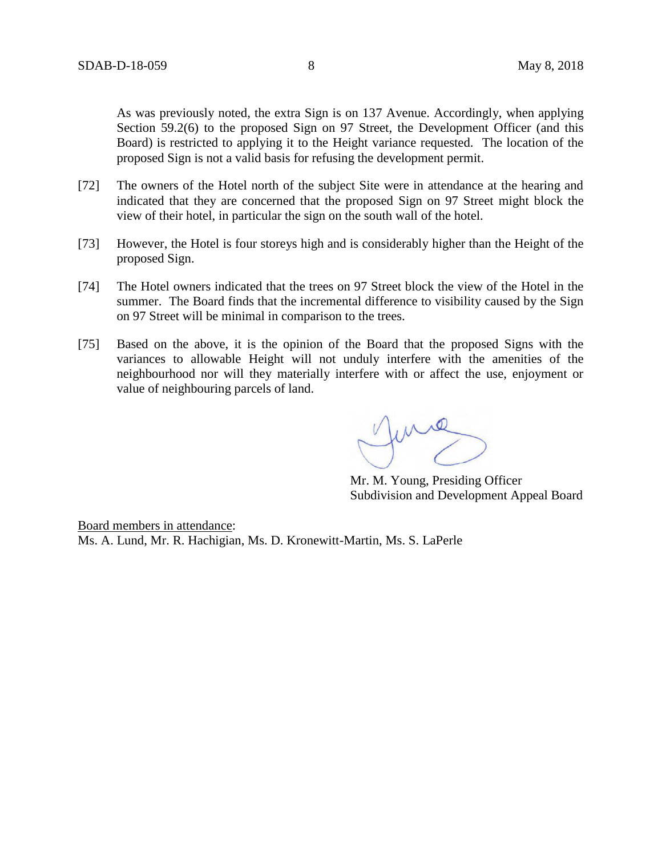As was previously noted, the extra Sign is on 137 Avenue. Accordingly, when applying Section 59.2(6) to the proposed Sign on 97 Street, the Development Officer (and this Board) is restricted to applying it to the Height variance requested. The location of the proposed Sign is not a valid basis for refusing the development permit.

- [72] The owners of the Hotel north of the subject Site were in attendance at the hearing and indicated that they are concerned that the proposed Sign on 97 Street might block the view of their hotel, in particular the sign on the south wall of the hotel.
- [73] However, the Hotel is four storeys high and is considerably higher than the Height of the proposed Sign.
- [74] The Hotel owners indicated that the trees on 97 Street block the view of the Hotel in the summer. The Board finds that the incremental difference to visibility caused by the Sign on 97 Street will be minimal in comparison to the trees.
- [75] Based on the above, it is the opinion of the Board that the proposed Signs with the variances to allowable Height will not unduly interfere with the amenities of the neighbourhood nor will they materially interfere with or affect the use, enjoyment or value of neighbouring parcels of land.

me

Mr. M. Young, Presiding Officer Subdivision and Development Appeal Board

Board members in attendance: Ms. A. Lund, Mr. R. Hachigian, Ms. D. Kronewitt-Martin, Ms. S. LaPerle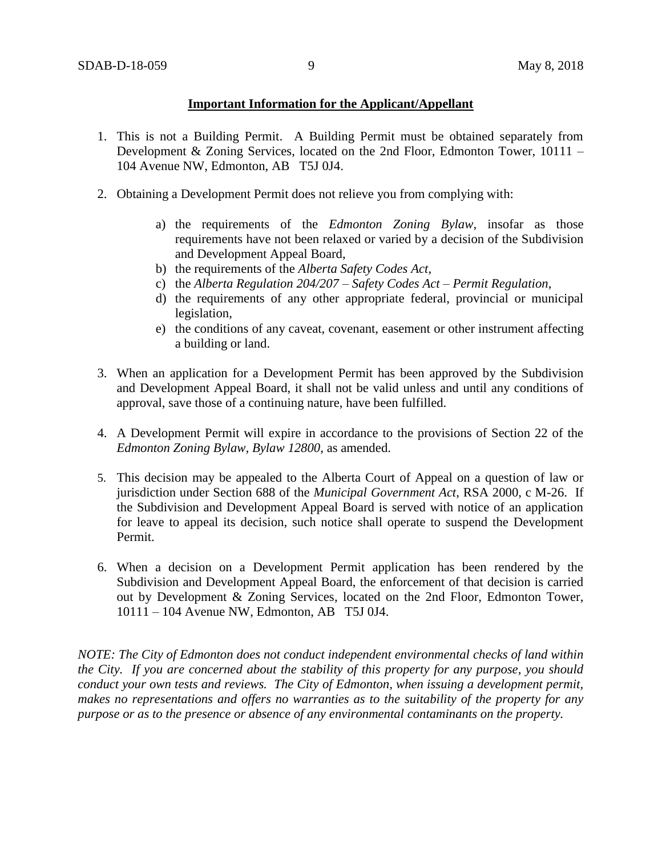### **Important Information for the Applicant/Appellant**

- 1. This is not a Building Permit. A Building Permit must be obtained separately from Development & Zoning Services, located on the 2nd Floor, Edmonton Tower, 10111 – 104 Avenue NW, Edmonton, AB T5J 0J4.
- 2. Obtaining a Development Permit does not relieve you from complying with:
	- a) the requirements of the *Edmonton Zoning Bylaw*, insofar as those requirements have not been relaxed or varied by a decision of the Subdivision and Development Appeal Board,
	- b) the requirements of the *Alberta Safety Codes Act*,
	- c) the *Alberta Regulation 204/207 – Safety Codes Act – Permit Regulation*,
	- d) the requirements of any other appropriate federal, provincial or municipal legislation,
	- e) the conditions of any caveat, covenant, easement or other instrument affecting a building or land.
- 3. When an application for a Development Permit has been approved by the Subdivision and Development Appeal Board, it shall not be valid unless and until any conditions of approval, save those of a continuing nature, have been fulfilled.
- 4. A Development Permit will expire in accordance to the provisions of Section 22 of the *Edmonton Zoning Bylaw, Bylaw 12800*, as amended.
- 5. This decision may be appealed to the Alberta Court of Appeal on a question of law or jurisdiction under Section 688 of the *Municipal Government Act*, RSA 2000, c M-26. If the Subdivision and Development Appeal Board is served with notice of an application for leave to appeal its decision, such notice shall operate to suspend the Development Permit.
- 6. When a decision on a Development Permit application has been rendered by the Subdivision and Development Appeal Board, the enforcement of that decision is carried out by Development & Zoning Services, located on the 2nd Floor, Edmonton Tower, 10111 – 104 Avenue NW, Edmonton, AB T5J 0J4.

*NOTE: The City of Edmonton does not conduct independent environmental checks of land within the City. If you are concerned about the stability of this property for any purpose, you should conduct your own tests and reviews. The City of Edmonton, when issuing a development permit, makes no representations and offers no warranties as to the suitability of the property for any purpose or as to the presence or absence of any environmental contaminants on the property.*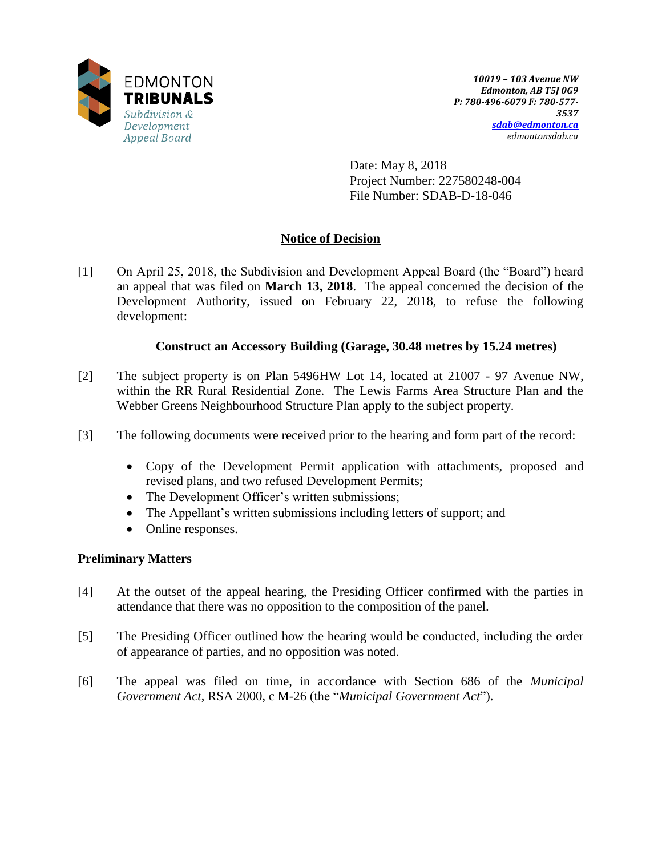

Date: May 8, 2018 Project Number: 227580248-004 File Number: SDAB-D-18-046

# **Notice of Decision**

[1] On April 25, 2018, the Subdivision and Development Appeal Board (the "Board") heard an appeal that was filed on **March 13, 2018**. The appeal concerned the decision of the Development Authority, issued on February 22, 2018, to refuse the following development:

### **Construct an Accessory Building (Garage, 30.48 metres by 15.24 metres)**

- [2] The subject property is on Plan 5496HW Lot 14, located at 21007 97 Avenue NW, within the RR Rural Residential Zone. The Lewis Farms Area Structure Plan and the Webber Greens Neighbourhood Structure Plan apply to the subject property.
- [3] The following documents were received prior to the hearing and form part of the record:
	- Copy of the Development Permit application with attachments, proposed and revised plans, and two refused Development Permits;
	- The Development Officer's written submissions;
	- The Appellant's written submissions including letters of support; and
	- Online responses.

## **Preliminary Matters**

- [4] At the outset of the appeal hearing, the Presiding Officer confirmed with the parties in attendance that there was no opposition to the composition of the panel.
- [5] The Presiding Officer outlined how the hearing would be conducted, including the order of appearance of parties, and no opposition was noted.
- [6] The appeal was filed on time, in accordance with Section 686 of the *Municipal Government Act*, RSA 2000, c M-26 (the "*Municipal Government Act*").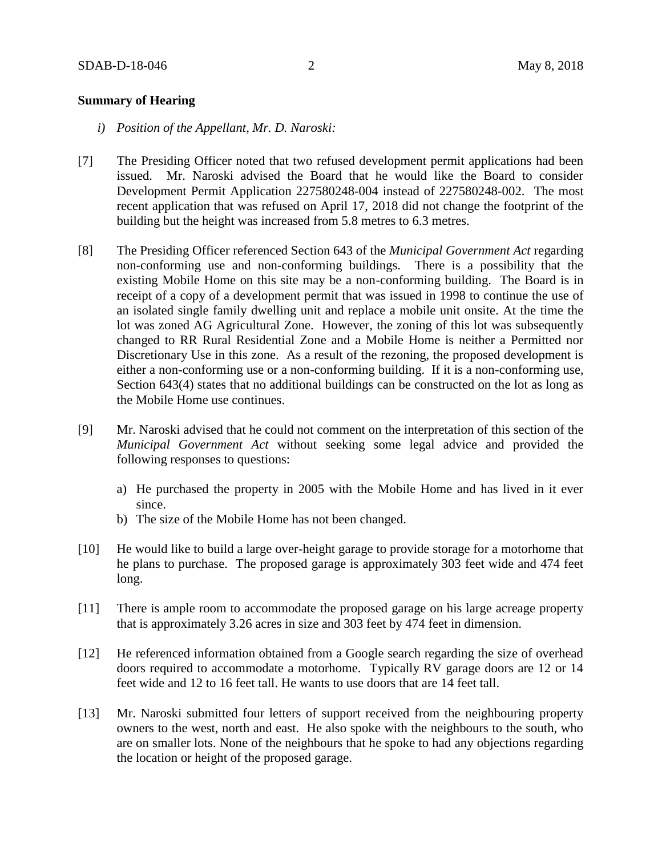### **Summary of Hearing**

- *i) Position of the Appellant, Mr. D. Naroski:*
- [7] The Presiding Officer noted that two refused development permit applications had been issued. Mr. Naroski advised the Board that he would like the Board to consider Development Permit Application 227580248-004 instead of 227580248-002. The most recent application that was refused on April 17, 2018 did not change the footprint of the building but the height was increased from 5.8 metres to 6.3 metres.
- [8] The Presiding Officer referenced Section 643 of the *Municipal Government Act* regarding non-conforming use and non-conforming buildings. There is a possibility that the existing Mobile Home on this site may be a non-conforming building. The Board is in receipt of a copy of a development permit that was issued in 1998 to continue the use of an isolated single family dwelling unit and replace a mobile unit onsite. At the time the lot was zoned AG Agricultural Zone. However, the zoning of this lot was subsequently changed to RR Rural Residential Zone and a Mobile Home is neither a Permitted nor Discretionary Use in this zone. As a result of the rezoning, the proposed development is either a non-conforming use or a non-conforming building. If it is a non-conforming use, Section 643(4) states that no additional buildings can be constructed on the lot as long as the Mobile Home use continues.
- [9] Mr. Naroski advised that he could not comment on the interpretation of this section of the *Municipal Government Act* without seeking some legal advice and provided the following responses to questions:
	- a) He purchased the property in 2005 with the Mobile Home and has lived in it ever since.
	- b) The size of the Mobile Home has not been changed.
- [10] He would like to build a large over-height garage to provide storage for a motorhome that he plans to purchase. The proposed garage is approximately 303 feet wide and 474 feet long.
- [11] There is ample room to accommodate the proposed garage on his large acreage property that is approximately 3.26 acres in size and 303 feet by 474 feet in dimension.
- [12] He referenced information obtained from a Google search regarding the size of overhead doors required to accommodate a motorhome. Typically RV garage doors are 12 or 14 feet wide and 12 to 16 feet tall. He wants to use doors that are 14 feet tall.
- [13] Mr. Naroski submitted four letters of support received from the neighbouring property owners to the west, north and east. He also spoke with the neighbours to the south, who are on smaller lots. None of the neighbours that he spoke to had any objections regarding the location or height of the proposed garage.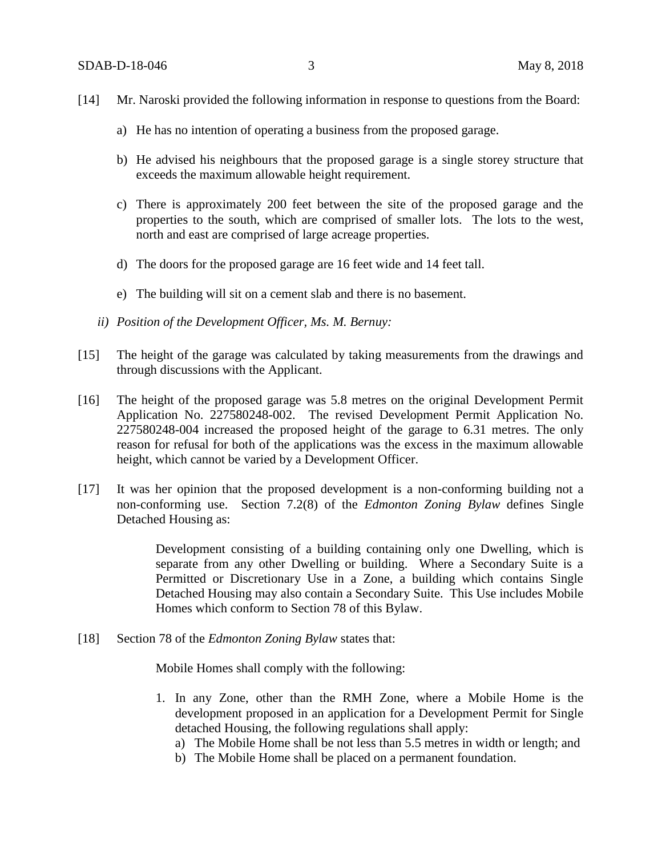- [14] Mr. Naroski provided the following information in response to questions from the Board:
	- a) He has no intention of operating a business from the proposed garage.
	- b) He advised his neighbours that the proposed garage is a single storey structure that exceeds the maximum allowable height requirement.
	- c) There is approximately 200 feet between the site of the proposed garage and the properties to the south, which are comprised of smaller lots. The lots to the west, north and east are comprised of large acreage properties.
	- d) The doors for the proposed garage are 16 feet wide and 14 feet tall.
	- e) The building will sit on a cement slab and there is no basement.
	- *ii) Position of the Development Officer, Ms. M. Bernuy:*
- [15] The height of the garage was calculated by taking measurements from the drawings and through discussions with the Applicant.
- [16] The height of the proposed garage was 5.8 metres on the original Development Permit Application No. 227580248-002. The revised Development Permit Application No. 227580248-004 increased the proposed height of the garage to 6.31 metres. The only reason for refusal for both of the applications was the excess in the maximum allowable height, which cannot be varied by a Development Officer.
- [17] It was her opinion that the proposed development is a non-conforming building not a non-conforming use. Section 7.2(8) of the *Edmonton Zoning Bylaw* defines Single Detached Housing as:

Development consisting of a building containing only one Dwelling, which is separate from any other Dwelling or building. Where a Secondary Suite is a Permitted or Discretionary Use in a Zone, a building which contains Single Detached Housing may also contain a Secondary Suite. This Use includes Mobile Homes which conform to Section 78 of this Bylaw.

[18] Section 78 of the *Edmonton Zoning Bylaw* states that:

Mobile Homes shall comply with the following:

- 1. In any Zone, other than the RMH Zone, where a Mobile Home is the development proposed in an application for a Development Permit for Single detached Housing, the following regulations shall apply:
	- a) The Mobile Home shall be not less than 5.5 metres in width or length; and
	- b) The Mobile Home shall be placed on a permanent foundation.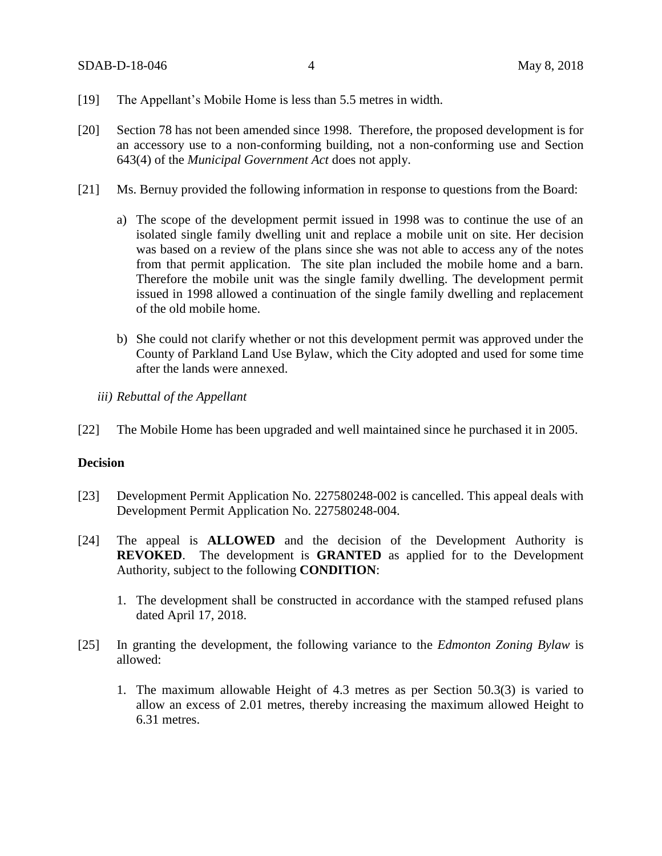- [19] The Appellant's Mobile Home is less than 5.5 metres in width.
- [20] Section 78 has not been amended since 1998. Therefore, the proposed development is for an accessory use to a non-conforming building, not a non-conforming use and Section 643(4) of the *Municipal Government Act* does not apply.
- [21] Ms. Bernuy provided the following information in response to questions from the Board:
	- a) The scope of the development permit issued in 1998 was to continue the use of an isolated single family dwelling unit and replace a mobile unit on site. Her decision was based on a review of the plans since she was not able to access any of the notes from that permit application. The site plan included the mobile home and a barn. Therefore the mobile unit was the single family dwelling. The development permit issued in 1998 allowed a continuation of the single family dwelling and replacement of the old mobile home.
	- b) She could not clarify whether or not this development permit was approved under the County of Parkland Land Use Bylaw, which the City adopted and used for some time after the lands were annexed.
	- *iii) Rebuttal of the Appellant*
- [22] The Mobile Home has been upgraded and well maintained since he purchased it in 2005.

### **Decision**

- [23] Development Permit Application No. 227580248-002 is cancelled. This appeal deals with Development Permit Application No. 227580248-004.
- [24] The appeal is **ALLOWED** and the decision of the Development Authority is **REVOKED**. The development is **GRANTED** as applied for to the Development Authority, subject to the following **CONDITION**:
	- 1. The development shall be constructed in accordance with the stamped refused plans dated April 17, 2018.
- [25] In granting the development, the following variance to the *Edmonton Zoning Bylaw* is allowed:
	- 1. The maximum allowable Height of 4.3 metres as per Section 50.3(3) is varied to allow an excess of 2.01 metres, thereby increasing the maximum allowed Height to 6.31 metres.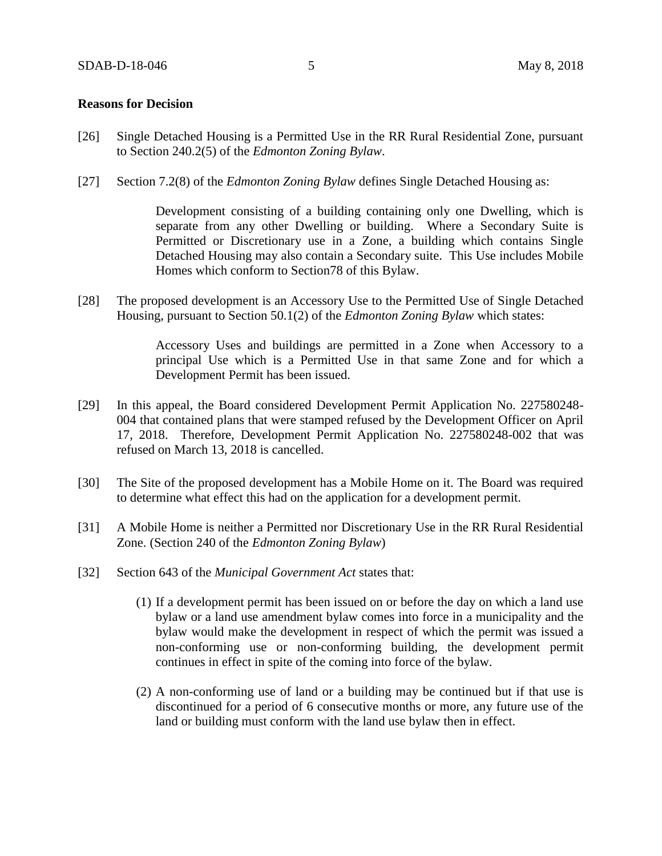#### **Reasons for Decision**

- [26] Single Detached Housing is a Permitted Use in the RR Rural Residential Zone, pursuant to Section 240.2(5) of the *Edmonton Zoning Bylaw*.
- [27] Section 7.2(8) of the *Edmonton Zoning Bylaw* defines Single Detached Housing as:

Development consisting of a building containing only one Dwelling, which is separate from any other Dwelling or building. Where a Secondary Suite is Permitted or Discretionary use in a Zone, a building which contains Single Detached Housing may also contain a Secondary suite. This Use includes Mobile Homes which conform to Section78 of this Bylaw.

[28] The proposed development is an Accessory Use to the Permitted Use of Single Detached Housing, pursuant to Section 50.1(2) of the *Edmonton Zoning Bylaw* which states:

> Accessory Uses and buildings are permitted in a Zone when Accessory to a principal Use which is a Permitted Use in that same Zone and for which a Development Permit has been issued.

- [29] In this appeal, the Board considered Development Permit Application No. 227580248- 004 that contained plans that were stamped refused by the Development Officer on April 17, 2018. Therefore, Development Permit Application No. 227580248-002 that was refused on March 13, 2018 is cancelled.
- [30] The Site of the proposed development has a Mobile Home on it. The Board was required to determine what effect this had on the application for a development permit.
- [31] A Mobile Home is neither a Permitted nor Discretionary Use in the RR Rural Residential Zone. (Section 240 of the *Edmonton Zoning Bylaw*)
- [32] Section 643 of the *Municipal Government Act* states that:
	- (1) If a development permit has been issued on or before the day on which a land use bylaw or a land use amendment bylaw comes into force in a municipality and the bylaw would make the development in respect of which the permit was issued a non-conforming use or non-conforming building, the development permit continues in effect in spite of the coming into force of the bylaw.
	- (2) A non-conforming use of land or a building may be continued but if that use is discontinued for a period of 6 consecutive months or more, any future use of the land or building must conform with the land use bylaw then in effect.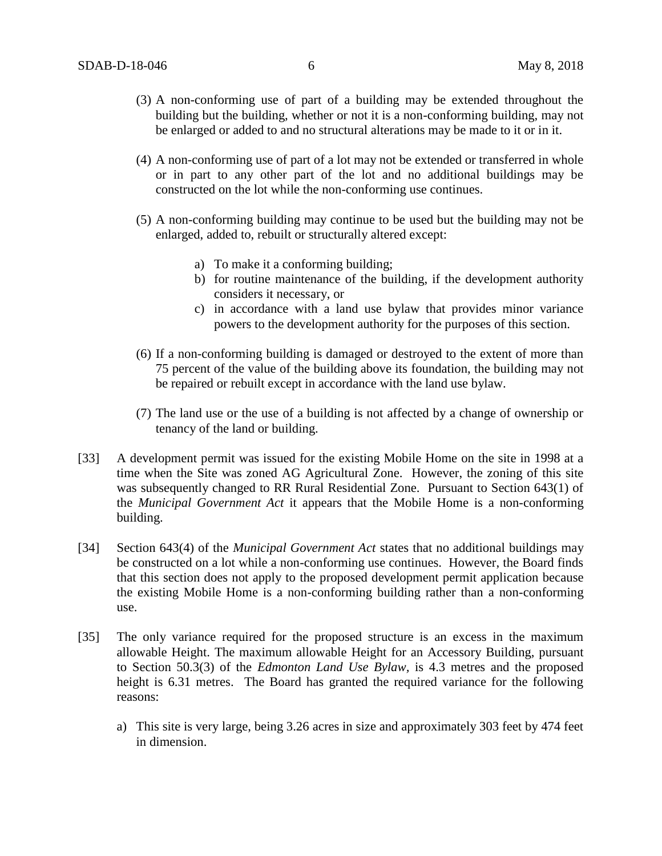- (3) A non-conforming use of part of a building may be extended throughout the building but the building, whether or not it is a non-conforming building, may not be enlarged or added to and no structural alterations may be made to it or in it.
- (4) A non-conforming use of part of a lot may not be extended or transferred in whole or in part to any other part of the lot and no additional buildings may be constructed on the lot while the non-conforming use continues.
- (5) A non-conforming building may continue to be used but the building may not be enlarged, added to, rebuilt or structurally altered except:
	- a) To make it a conforming building;
	- b) for routine maintenance of the building, if the development authority considers it necessary, or
	- c) in accordance with a land use bylaw that provides minor variance powers to the development authority for the purposes of this section.
- (6) If a non-conforming building is damaged or destroyed to the extent of more than 75 percent of the value of the building above its foundation, the building may not be repaired or rebuilt except in accordance with the land use bylaw.
- (7) The land use or the use of a building is not affected by a change of ownership or tenancy of the land or building.
- [33] A development permit was issued for the existing Mobile Home on the site in 1998 at a time when the Site was zoned AG Agricultural Zone. However, the zoning of this site was subsequently changed to RR Rural Residential Zone. Pursuant to Section 643(1) of the *Municipal Government Act* it appears that the Mobile Home is a non-conforming building.
- [34] Section 643(4) of the *Municipal Government Act* states that no additional buildings may be constructed on a lot while a non-conforming use continues. However, the Board finds that this section does not apply to the proposed development permit application because the existing Mobile Home is a non-conforming building rather than a non-conforming use.
- [35] The only variance required for the proposed structure is an excess in the maximum allowable Height. The maximum allowable Height for an Accessory Building, pursuant to Section 50.3(3) of the *Edmonton Land Use Bylaw,* is 4.3 metres and the proposed height is 6.31 metres. The Board has granted the required variance for the following reasons:
	- a) This site is very large, being 3.26 acres in size and approximately 303 feet by 474 feet in dimension.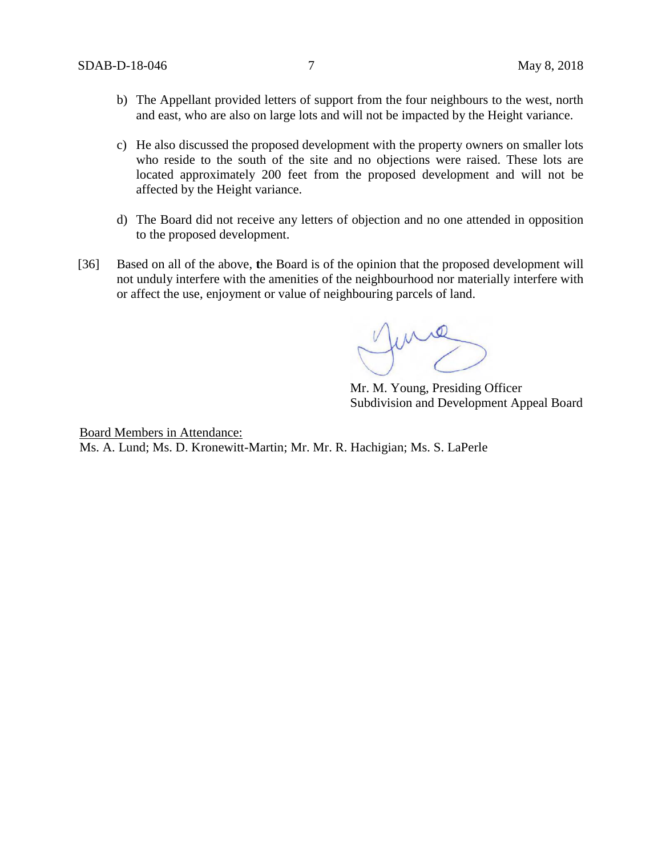- b) The Appellant provided letters of support from the four neighbours to the west, north and east, who are also on large lots and will not be impacted by the Height variance.
- c) He also discussed the proposed development with the property owners on smaller lots who reside to the south of the site and no objections were raised. These lots are located approximately 200 feet from the proposed development and will not be affected by the Height variance.
- d) The Board did not receive any letters of objection and no one attended in opposition to the proposed development.
- [36] Based on all of the above, **t**he Board is of the opinion that the proposed development will not unduly interfere with the amenities of the neighbourhood nor materially interfere with or affect the use, enjoyment or value of neighbouring parcels of land.

me

Mr. M. Young, Presiding Officer Subdivision and Development Appeal Board

Board Members in Attendance: Ms. A. Lund; Ms. D. Kronewitt-Martin; Mr. Mr. R. Hachigian; Ms. S. LaPerle